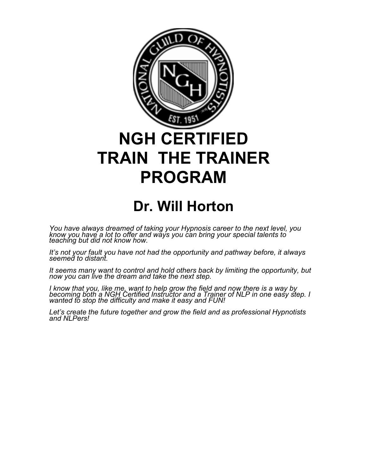

## **NGH CERTIFIED TRAIN THE TRAINER PROGRAM**

## **Dr. Will Horton**

*You have always dreamed of taking your Hypnosis career to the next level, you know you have a lot to offer and ways you can bring your special talents to teaching but did not know how.* 

*It's not your fault you have not had the opportunity and pathway before, it always seemed to distant.*

*It seems many want to control and hold others back by limiting the opportunity, but now you can live the dream and take the next step.*

*I know that you, like me, want to help grow the field and now there is a way by*  becoming both a NGH Certified Instructor and a Trainer of NLP in one easy step. I *wanted to stop the difficulty and make it easy and FUN!*

*Let's create the future together and grow the field and as professional Hypnotists and NLPers!*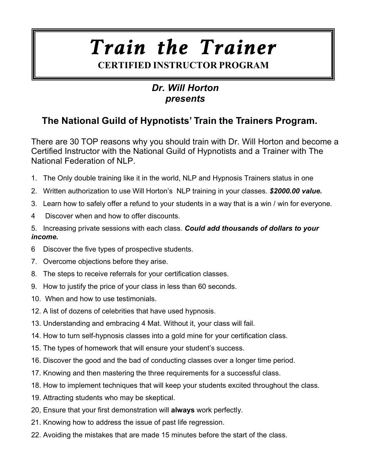# *Train the Trainer*

## **CERTIFIED INSTRUCTOR PROGRAM**

#### *Dr. Will Horton presents*

### **The National Guild of Hypnotists' Train the Trainers Program.**

There are 30 TOP reasons why you should train with Dr. Will Horton and become a Certified Instructor with the National Guild of Hypnotists and a Trainer with The National Federation of NLP.

- 1. The Only double training like it in the world, NLP and Hypnosis Trainers status in one
- 2. Written authorization to use Will Horton's NLP training in your classes. *\$2000.00 value.*
- 3. Learn how to safely offer a refund to your students in a way that is a win / win for everyone.
- 4 Discover when and how to offer discounts.
- 5. Increasing private sessions with each class. *Could add thousands of dollars to your income.*
- 6 Discover the five types of prospective students.
- 7. Overcome objections before they arise.
- 8. The steps to receive referrals for your certification classes.
- 9. How to justify the price of your class in less than 60 seconds.
- 10. When and how to use testimonials.
- 12. A list of dozens of celebrities that have used hypnosis.
- 13. Understanding and embracing 4 Mat. Without it, your class will fail.
- 14. How to turn self-hypnosis classes into a gold mine for your certification class.
- 15. The types of homework that will ensure your student's success.
- 16. Discover the good and the bad of conducting classes over a longer time period.
- 17. Knowing and then mastering the three requirements for a successful class.
- 18. How to implement techniques that will keep your students excited throughout the class.
- 19. Attracting students who may be skeptical.
- 20, Ensure that your first demonstration will **always** work perfectly.
- 21. Knowing how to address the issue of past life regression.
- 22. Avoiding the mistakes that are made 15 minutes before the start of the class.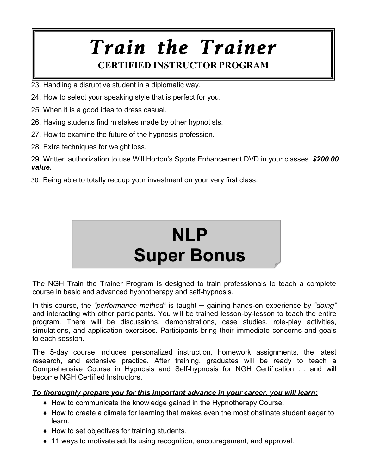- 23. Handling a disruptive student in a diplomatic way.
- 24. How to select your speaking style that is perfect for you.
- 25. When it is a good idea to dress casual.
- 26. Having students find mistakes made by other hypnotists.
- 27. How to examine the future of the hypnosis profession.
- 28. Extra techniques for weight loss.

29. Written authorization to use Will Horton's Sports Enhancement DVD in your classes. *\$200.00 value.*

30. Being able to totally recoup your investment on your very first class.



The NGH Train the Trainer Program is designed to train professionals to teach a complete course in basic and advanced hypnotherapy and self-hypnosis.

In this course, the *"performance method"* is taught — gaining hands-on experience by "doing" and interacting with other participants. You will be trained lesson-by-lesson to teach the entire program. There will be discussions, demonstrations, case studies, role-play activities, simulations, and application exercises. Participants bring their immediate concerns and goals to each session.

The 5-day course includes personalized instruction, homework assignments, the latest research, and extensive practice. After training, graduates will be ready to teach a Comprehensive Course in Hypnosis and Self-hypnosis for NGH Certification … and will become NGH Certified Instructors.

#### *To thoroughly prepare you for this important advance in your career, you will learn:*

- ♦ How to communicate the knowledge gained in the Hypnotherapy Course.
- ♦ How to create a climate for learning that makes even the most obstinate student eager to learn.
- ♦ How to set objectives for training students.
- ♦ 11 ways to motivate adults using recognition, encouragement, and approval.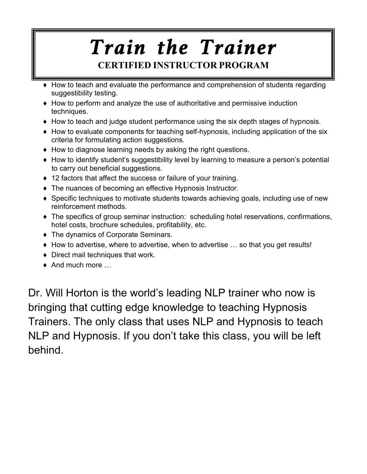- ♦ How to teach and evaluate the performance and comprehension of students regarding suggestibility testing.
- ♦ How to perform and analyze the use of authoritative and permissive induction techniques.
- ♦ How to teach and judge student performance using the six depth stages of hypnosis.
- ♦ How to evaluate components for teaching self-hypnosis, including application of the six criteria for formulating action suggestions.
- ♦ How to diagnose learning needs by asking the right questions.
- ♦ How to identify student's suggestibility level by learning to measure a person's potential to carry out beneficial suggestions.
- ♦ 12 factors that affect the success or failure of your training.
- ♦ The nuances of becoming an effective Hypnosis Instructor.
- ♦ Specific techniques to motivate students towards achieving goals, including use of new reinforcement methods.
- ♦ The specifics of group seminar instruction: scheduling hotel reservations, confirmations, hotel costs, brochure schedules, profitability, etc.
- ♦ The dynamics of Corporate Seminars.
- ♦ How to advertise, where to advertise, when to advertise … so that you get results!
- ♦ Direct mail techniques that work.
- $\bullet$  And much more  $\ldots$

Dr. Will Horton is the world's leading NLP trainer who now is bringing that cutting edge knowledge to teaching Hypnosis Trainers. The only class that uses NLP and Hypnosis to teach NLP and Hypnosis. If you don't take this class, you will be left behind.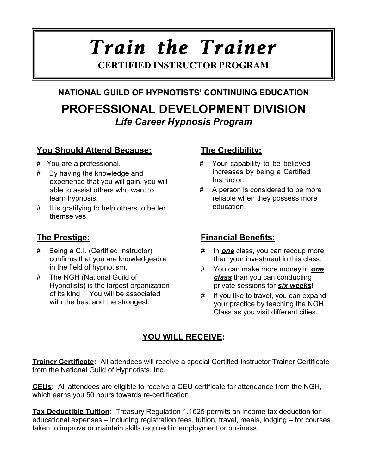## **NATIONAL GUILD OF HYPNOTISTS' CONTINUING EDUCATION PROFESSIONAL DEVELOPMENT DIVISION** *Life Career Hypnosis Program*

#### **You Should Attend Because: The Credibility:**

- # You are a professional.
- # By having the knowledge and experience that you will gain, you will able to assist others who want to learn hypnosis.
- # It is gratifying to help others to better themselves.

- # Being a C.I. (Certified Instructor) confirms that you are knowledgeable in the field of hypnotism.
- # The NGH (National Guild of Hypnotists) is the largest organization of its kind ─ You will be associated with the best and the strongest.

- # Your capability to be believed increases by being a Certified Instructor.
- # A person is considered to be more reliable when they possess more education.

#### **The Prestige: Financial Benefits:**

- # In *one* class, you can recoup more than your investment in this class.
- # You can make more money in *one class* than you can conducting private sessions for *six weeks*!
- # If you like to travel, you can expand your practice by teaching the NGH Class as you visit different cities.

#### **YOU WILL RECEIVE:**

**Trainer Certificate:** All attendees will receive a special Certified Instructor Trainer Certificate from the National Guild of Hypnotists, Inc.

**CEUs:** All attendees are eligible to receive a CEU certificate for attendance from the NGH, which earns you 50 hours towards re-certification.

**Tax Deductible Tuition:** Treasury Regulation 1.1625 permits an income tax deduction for educational expenses – including registration fees, tuition, travel, meals, lodging – for courses taken to improve or maintain skills required in employment or business.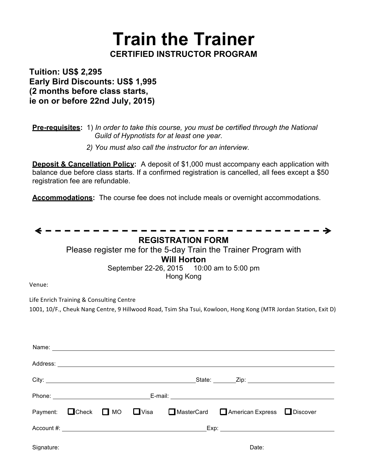**Tuition: US\$ 2,295 Early Bird Discounts: US\$ 1,995 (2 months before class starts, ie on or before 22nd July, 2015)**

**Pre-requisites:** 1) *In order to take this course, you must be certified through the National Guild of Hypnotists for at least one year.*

*2) You must also call the instructor for an interview.*

**Deposit & Cancellation Policy:** A deposit of \$1,000 must accompany each application with balance due before class starts. If a confirmed registration is cancelled, all fees except a \$50 registration fee are refundable.

**Accommodations:** The course fee does not include meals or overnight accommodations.

|            | <b>REGISTRATION FORM</b>                                                                                                                                                                                                      |
|------------|-------------------------------------------------------------------------------------------------------------------------------------------------------------------------------------------------------------------------------|
|            | Please register me for the 5-day Train the Trainer Program with                                                                                                                                                               |
|            | <b>Will Horton</b>                                                                                                                                                                                                            |
|            | September 22-26, 2015 10:00 am to 5:00 pm                                                                                                                                                                                     |
| Venue:     | Hong Kong                                                                                                                                                                                                                     |
|            |                                                                                                                                                                                                                               |
|            | Life Enrich Training & Consulting Centre                                                                                                                                                                                      |
|            | 1001, 10/F., Cheuk Nang Centre, 9 Hillwood Road, Tsim Sha Tsui, Kowloon, Hong Kong (MTR Jordan Station, Exit D)                                                                                                               |
|            |                                                                                                                                                                                                                               |
|            |                                                                                                                                                                                                                               |
|            | Name: Name: Name: Name: Name: Name: Name: Name: Name: Name: Name: Name: Name: Name: Name: Name: Name: Name: Name: Name: Name: Name: Name: Name: Name: Name: Name: Name: Name: Name: Name: Name: Name: Name: Name: Name: Name: |
|            |                                                                                                                                                                                                                               |
|            |                                                                                                                                                                                                                               |
|            |                                                                                                                                                                                                                               |
|            |                                                                                                                                                                                                                               |
|            |                                                                                                                                                                                                                               |
| Payment:   | ■Check ■ MO ■ Visa<br>MasterCard <b>American Express</b> Discover                                                                                                                                                             |
|            |                                                                                                                                                                                                                               |
|            |                                                                                                                                                                                                                               |
| Signature: | Date:                                                                                                                                                                                                                         |